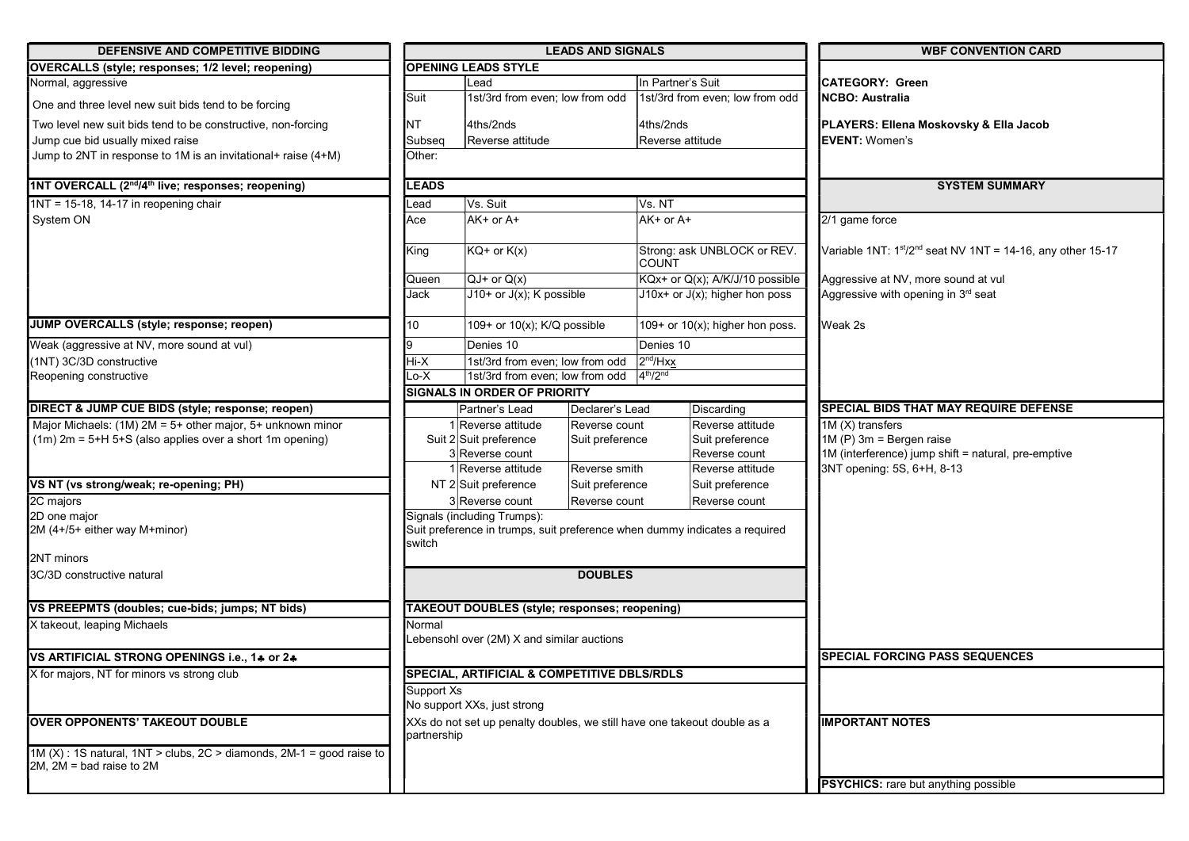| <b>DEFENSIVE AND COMPETITIVE BIDDING</b>                                                                   |                                                         |                                                              | <b>LEADS AND SIGNALS</b> |                                                                            | <b>WBF CONVENTION CARD</b>                                                       |  |
|------------------------------------------------------------------------------------------------------------|---------------------------------------------------------|--------------------------------------------------------------|--------------------------|----------------------------------------------------------------------------|----------------------------------------------------------------------------------|--|
| <b>OVERCALLS (style; responses; 1/2 level; reopening)</b>                                                  |                                                         | <b>OPENING LEADS STYLE</b>                                   |                          |                                                                            |                                                                                  |  |
| Normal, aggressive                                                                                         |                                                         | Lead                                                         |                          | IIn Partner's Suit                                                         | ICATEGORY: Green                                                                 |  |
| One and three level new suit bids tend to be forcing                                                       | Suit                                                    | 1st/3rd from even; low from odd                              |                          | 1st/3rd from even; low from odd                                            | <b>NCBO: Australia</b>                                                           |  |
| Two level new suit bids tend to be constructive, non-forcing                                               | <b>NT</b>                                               | 4ths/2nds                                                    |                          | 4ths/2nds                                                                  | PLAYERS: Ellena Moskovsky & Ella Jacob                                           |  |
| Jump cue bid usually mixed raise                                                                           | Subseq                                                  | Reverse attitude                                             |                          | Reverse attitude                                                           | <b>IEVENT:</b> Women's                                                           |  |
| Jump to 2NT in response to 1M is an invitational+ raise (4+M)                                              | Other:                                                  |                                                              |                          |                                                                            |                                                                                  |  |
| 1NT OVERCALL (2nd/4th live; responses; reopening)                                                          | <b>LEADS</b>                                            |                                                              |                          |                                                                            | <b>SYSTEM SUMMARY</b>                                                            |  |
| $1NT = 15-18$ , 14-17 in reopening chair                                                                   | Lead                                                    | Vs. Suit<br>Vs. NT                                           |                          |                                                                            |                                                                                  |  |
| System ON                                                                                                  | Ace                                                     | AK+ or A+                                                    |                          | AK+ or A+                                                                  | 2/1 game force<br>Variable 1NT: $1st/2nd$ seat NV 1NT = 14-16, any other 15-17   |  |
|                                                                                                            | King                                                    | $KG+$ or $K(x)$                                              |                          | Strong: ask UNBLOCK or REV.<br><b>COUNT</b>                                |                                                                                  |  |
|                                                                                                            | Queen                                                   | $QJ+$ or $Q(x)$                                              |                          | KQx+ or Q(x); A/K/J/10 possible                                            | Aggressive at NV, more sound at vul                                              |  |
|                                                                                                            | Jack                                                    | $J10+$ or $J(x)$ ; K possible                                |                          | $J10x+$ or $J(x)$ ; higher hon poss                                        | Aggressive with opening in 3rd seat                                              |  |
| JUMP OVERCALLS (style; response; reopen)                                                                   | 10                                                      | 109+ or 10(x); K/Q possible                                  |                          | 109+ or $10(x)$ ; higher hon poss.                                         | Weak 2s                                                                          |  |
| Weak (aggressive at NV, more sound at vul)                                                                 |                                                         | Denies 10                                                    |                          | Denies 10                                                                  |                                                                                  |  |
| (1NT) 3C/3D constructive                                                                                   | Hi-X                                                    | 1st/3rd from even; low from odd                              | 2 <sup>nd</sup> /Hxx     |                                                                            |                                                                                  |  |
| Reopening constructive                                                                                     | Lo-X                                                    | 1st/3rd from even; low from odd                              |                          | 4 <sup>th</sup> /2 <sup>nd</sup>                                           |                                                                                  |  |
|                                                                                                            |                                                         | <b>SIGNALS IN ORDER OF PRIORITY</b>                          |                          |                                                                            |                                                                                  |  |
| DIRECT & JUMP CUE BIDS (style; response; reopen)                                                           |                                                         | Partner's Lead                                               | Declarer's Lead          | Discarding                                                                 | <b>SPECIAL BIDS THAT MAY REQUIRE DEFENSE</b>                                     |  |
| Major Michaels: (1M) 2M = 5+ other major, 5+ unknown minor                                                 | 1 Reverse attitude<br>Reverse count                     |                                                              | Reverse attitude         | 1M (X) transfers                                                           |                                                                                  |  |
| $(1m)$ 2m = 5+H 5+S (also applies over a short 1m opening)                                                 |                                                         | Suit 2 Suit preference<br>Suit preference<br>3 Reverse count |                          | Suit preference<br>Reverse count                                           | $1M(P)$ 3m = Bergen raise<br>1M (interference) jump shift = natural, pre-emptive |  |
|                                                                                                            |                                                         | 1 Reverse attitude                                           | Reverse smith            | Reverse attitude                                                           | 3NT opening: 5S, 6+H, 8-13                                                       |  |
| VS NT (vs strong/weak; re-opening; PH)                                                                     |                                                         | NT 2 Suit preference                                         | Suit preference          | Suit preference                                                            |                                                                                  |  |
| 2C majors                                                                                                  |                                                         | 3 Reverse count<br>Reverse count                             |                          | Reverse count                                                              |                                                                                  |  |
| 2D one major                                                                                               |                                                         | Signals (including Trumps):                                  |                          |                                                                            |                                                                                  |  |
| 2M (4+/5+ either way M+minor)                                                                              | switch                                                  |                                                              |                          | Suit preference in trumps, suit preference when dummy indicates a required |                                                                                  |  |
| 2NT minors                                                                                                 |                                                         |                                                              |                          |                                                                            |                                                                                  |  |
| 3C/3D constructive natural                                                                                 |                                                         |                                                              | <b>DOUBLES</b>           |                                                                            |                                                                                  |  |
| VS PREEPMTS (doubles; cue-bids; jumps; NT bids)                                                            |                                                         | <b>TAKEOUT DOUBLES (style; responses; reopening)</b>         |                          |                                                                            |                                                                                  |  |
| X takeout, leaping Michaels                                                                                | Normal                                                  | ebensohl over (2M) X and similar auctions                    |                          |                                                                            |                                                                                  |  |
| VS ARTIFICIAL STRONG OPENINGS i.e., 14 or 24                                                               |                                                         |                                                              |                          |                                                                            | <b>SPECIAL FORCING PASS SEQUENCES</b>                                            |  |
| X for majors, NT for minors vs strong club                                                                 | <b>ISPECIAL, ARTIFICIAL &amp; COMPETITIVE DBLS/RDLS</b> |                                                              |                          |                                                                            |                                                                                  |  |
|                                                                                                            | Support Xs<br>No support XXs, just strong               |                                                              |                          |                                                                            |                                                                                  |  |
| <b>OVER OPPONENTS' TAKEOUT DOUBLE</b>                                                                      | partnership                                             |                                                              |                          | XXs do not set up penalty doubles, we still have one takeout double as a   | <b>IIMPORTANT NOTES</b>                                                          |  |
| 1M $(X)$ : 1S natural, 1NT > clubs, 2C > diamonds, 2M-1 = good raise to<br>$2M$ , $2M =$ bad raise to $2M$ |                                                         |                                                              |                          |                                                                            |                                                                                  |  |
|                                                                                                            |                                                         |                                                              |                          |                                                                            | <b>PSYCHICS:</b> rare but anything possible                                      |  |
|                                                                                                            |                                                         |                                                              |                          |                                                                            |                                                                                  |  |